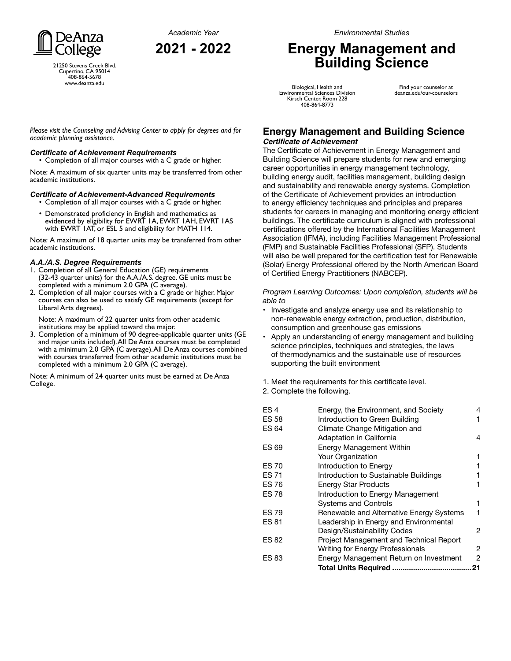*Academic Year* **2021 - 2022**



21250 Stevens Creek Blvd. Cupertino, CA 95014 408-864-5678 www.deanza.edu

# **Energy Management and Building Science**

Biological, Health and Environmental Sciences Division Kirsch Center, Room 228 408-864-8773

Find your counselor at deanza.edu/our-counselors

*Please visit the Counseling and Advising Center to apply for degrees and for academic planning assistance.*

### *Certificate of Achievement Requirements*

• Completion of all major courses with a C grade or higher.

Note: A maximum of six quarter units may be transferred from other academic institutions.

### *Certificate of Achievement-Advanced Requirements*

- Completion of all major courses with a C grade or higher.
- Demonstrated proficiency in English and mathematics as evidenced by eligibility for EWRT 1A, EWRT 1AH, EWRT 1AS with EWRT 1AT, or ESL 5 and eligibility for MATH 114.

Note: A maximum of 18 quarter units may be transferred from other academic institutions.

#### *A.A./A.S. Degree Requirements*

- 1. Completion of all General Education (GE) requirements (32-43 quarter units) for the A.A./A.S. degree. GE units must be completed with a minimum 2.0 GPA (C average).
- 2. Completion of all major courses with a C grade or higher. Major courses can also be used to satisfy GE requirements (except for Liberal Arts degrees).

Note: A maximum of 22 quarter units from other academic institutions may be applied toward the major.

3. Completion of a minimum of 90 degree-applicable quarter units (GE and major units included). All De Anza courses must be completed with a minimum 2.0 GPA (C average). All De Anza courses combined with courses transferred from other academic institutions must be completed with a minimum 2.0 GPA (C average).

Note: A minimum of 24 quarter units must be earned at De Anza College.

# **Energy Management and Building Science Certificate of Achievement**

The Certificate of Achievement in Energy Management and Building Science will prepare students for new and emerging career opportunities in energy management technology, building energy audit, facilities management, building design and sustainability and renewable energy systems. Completion of the Certificate of Achievement provides an introduction to energy efficiency techniques and principles and prepares students for careers in managing and monitoring energy efficient buildings. The certificate curriculum is aligned with professional certifications offered by the International Facilities Management Association (IFMA), including Facilities Management Professional (FMP) and Sustainable Facilities Professional (SFP). Students will also be well prepared for the certification test for Renewable (Solar) Energy Professional offered by the North American Board of Certified Energy Practitioners (NABCEP).

*Program Learning Outcomes: Upon completion, students will be able to*

- Investigate and analyze energy use and its relationship to non-renewable energy extraction, production, distribution, consumption and greenhouse gas emissions
- Apply an understanding of energy management and building science principles, techniques and strategies, the laws of thermodynamics and the sustainable use of resources supporting the built environment
- 1. Meet the requirements for this certificate level.
- 2. Complete the following.

| FS <sub>4</sub> | Energy, the Environment, and Society     | 4  |
|-----------------|------------------------------------------|----|
| ES 58           | Introduction to Green Building           |    |
| ES 64           | Climate Change Mitigation and            |    |
|                 | Adaptation in California                 | 4  |
| ES 69           | <b>Energy Management Within</b>          |    |
|                 | <b>Your Organization</b>                 |    |
| ES 70           | Introduction to Energy                   |    |
| <b>ES 71</b>    | Introduction to Sustainable Buildings    |    |
| <b>ES 76</b>    | <b>Energy Star Products</b>              |    |
| <b>ES 78</b>    | Introduction to Energy Management        |    |
|                 | <b>Systems and Controls</b>              |    |
| ES 79           | Renewable and Alternative Energy Systems |    |
| <b>ES 81</b>    | Leadership in Energy and Environmental   |    |
|                 | Design/Sustainability Codes              | 2  |
| ES 82           | Project Management and Technical Report  |    |
|                 | Writing for Energy Professionals         | 2  |
| ES 83           | Energy Management Return on Investment   | 2  |
|                 | <b>Total Units Required </b>             | 21 |
|                 |                                          |    |